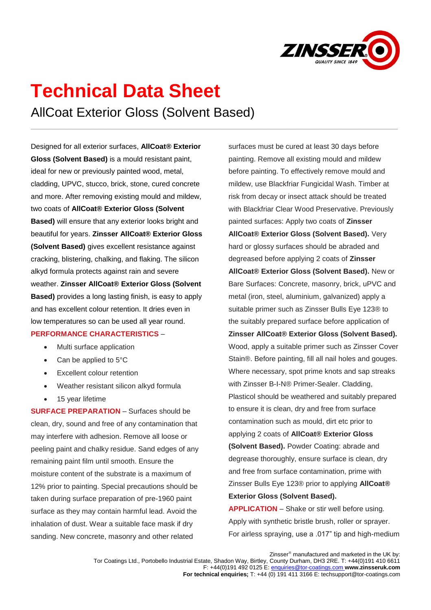

## **Technical Data Sheet** AllCoat Exterior Gloss (Solvent Based)

\_\_\_\_\_\_\_\_\_\_\_\_\_\_\_\_\_\_\_\_\_\_\_\_\_\_\_\_\_\_\_\_\_\_\_\_\_\_\_\_\_\_\_\_\_\_\_\_\_\_\_\_\_\_\_\_\_\_\_\_\_\_\_\_\_\_\_\_\_\_\_\_\_\_\_\_

Designed for all exterior surfaces, **AllCoat® Exterior Gloss (Solvent Based)** is a mould resistant paint, ideal for new or previously painted wood, metal, cladding, UPVC, stucco, brick, stone, cured concrete and more. After removing existing mould and mildew, two coats of **AllCoat® Exterior Gloss (Solvent Based)** will ensure that any exterior looks bright and beautiful for years. **Zinsser AllCoat® Exterior Gloss (Solvent Based)** gives excellent resistance against cracking, blistering, chalking, and flaking. The silicon alkyd formula protects against rain and severe weather. **Zinsser AllCoat® Exterior Gloss (Solvent Based)** provides a long lasting finish, is easy to apply and has excellent colour retention. It dries even in low temperatures so can be used all year round. **PERFORMANCE CHARACTERISTICS** –

- Multi surface application
- Can be applied to 5°C
- **Excellent colour retention**
- Weather resistant silicon alkyd formula
- 15 year lifetime

**SURFACE PREPARATION** – Surfaces should be clean, dry, sound and free of any contamination that may interfere with adhesion. Remove all loose or peeling paint and chalky residue. Sand edges of any remaining paint film until smooth. Ensure the moisture content of the substrate is a maximum of 12% prior to painting. Special precautions should be taken during surface preparation of pre-1960 paint surface as they may contain harmful lead. Avoid the inhalation of dust. Wear a suitable face mask if dry sanding. New concrete, masonry and other related

surfaces must be cured at least 30 days before painting. Remove all existing mould and mildew before painting. To effectively remove mould and mildew, use Blackfriar Fungicidal Wash. Timber at risk from decay or insect attack should be treated with Blackfriar Clear Wood Preservative. Previously painted surfaces: Apply two coats of **Zinsser AllCoat® Exterior Gloss (Solvent Based).** Very hard or glossy surfaces should be abraded and degreased before applying 2 coats of **Zinsser AllCoat® Exterior Gloss (Solvent Based).** New or Bare Surfaces: Concrete, masonry, brick, uPVC and metal (iron, steel, aluminium, galvanized) apply a suitable primer such as Zinsser Bulls Eye 123® to the suitably prepared surface before application of **Zinsser AllCoat® Exterior Gloss (Solvent Based).**  Wood, apply a suitable primer such as Zinsser Cover Stain®. Before painting, fill all nail holes and gouges. Where necessary, spot prime knots and sap streaks with Zinsser B-I-N® Primer-Sealer. Cladding, Plasticol should be weathered and suitably prepared to ensure it is clean, dry and free from surface contamination such as mould, dirt etc prior to applying 2 coats of **AllCoat® Exterior Gloss (Solvent Based).** Powder Coating: abrade and degrease thoroughly, ensure surface is clean, dry and free from surface contamination, prime with Zinsser Bulls Eye 123® prior to applying **AllCoat® Exterior Gloss (Solvent Based). APPLICATION** – Shake or stir well before using.

Apply with synthetic bristle brush, roller or sprayer. For airless spraying, use a .017" tip and high-medium

Zinsser<sup>®</sup> manufactured and marketed in the UK by: Tor Coatings Ltd., Portobello Industrial Estate, Shadon Way, Birtley, County Durham, DH3 2RE. T: +44(0)191 410 6611 F: +44(0)191 492 0125 E[: enquiries@tor-coatings.com](mailto:enquiries@tor-coatings.com) **www.zinsseruk.com For technical enquiries;** T: +44 (0) 191 411 3166 E: techsupport@tor-coatings.com